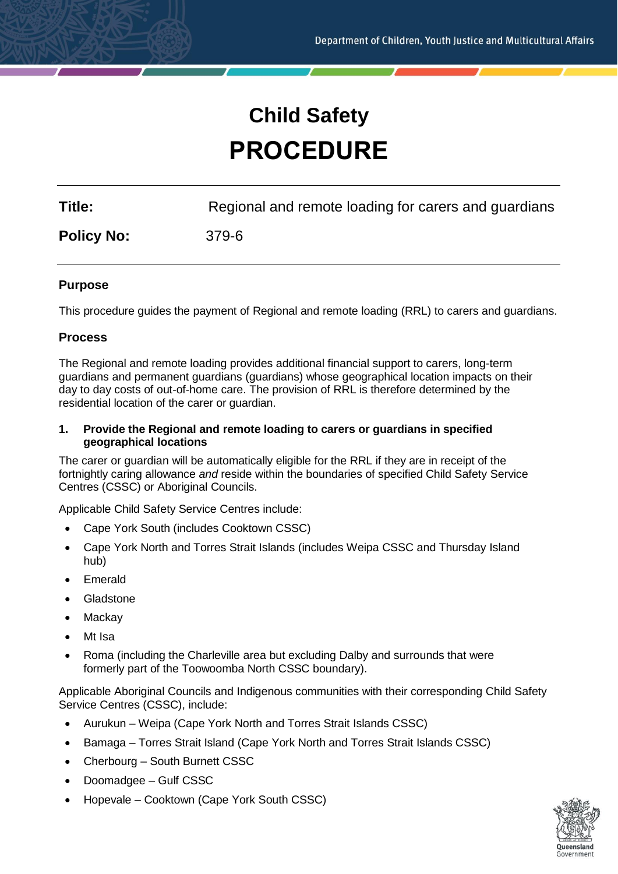# **Child Safety PROCEDURE**

**Title:** Regional and remote loading for carers and guardians

**Policy No:** 379-6

#### **Purpose**

This procedure guides the payment of Regional and remote loading (RRL) to carers and guardians.

#### **Process**

The Regional and remote loading provides additional financial support to carers, long-term guardians and permanent guardians (guardians) whose geographical location impacts on their day to day costs of out-of-home care. The provision of RRL is therefore determined by the residential location of the carer or guardian.

#### **1. Provide the Regional and remote loading to carers or guardians in specified geographical locations**

The carer or guardian will be automatically eligible for the RRL if they are in receipt of the fortnightly caring allowance *and* reside within the boundaries of specified Child Safety Service Centres (CSSC) or Aboriginal Councils.

Applicable Child Safety Service Centres include:

- Cape York South (includes Cooktown CSSC)
- Cape York North and Torres Strait Islands (includes Weipa CSSC and Thursday Island hub)
- **F**merald
- Gladstone
- **Mackay**
- Mt Isa
- Roma (including the Charleville area but excluding Dalby and surrounds that were formerly part of the Toowoomba North CSSC boundary).

Applicable Aboriginal Councils and Indigenous communities with their corresponding Child Safety Service Centres (CSSC), include:

- Aurukun Weipa (Cape York North and Torres Strait Islands CSSC)
- Bamaga Torres Strait Island (Cape York North and Torres Strait Islands CSSC)
- Cherbourg South Burnett CSSC
- Doomadgee Gulf CSSC
- Hopevale Cooktown (Cape York South CSSC)

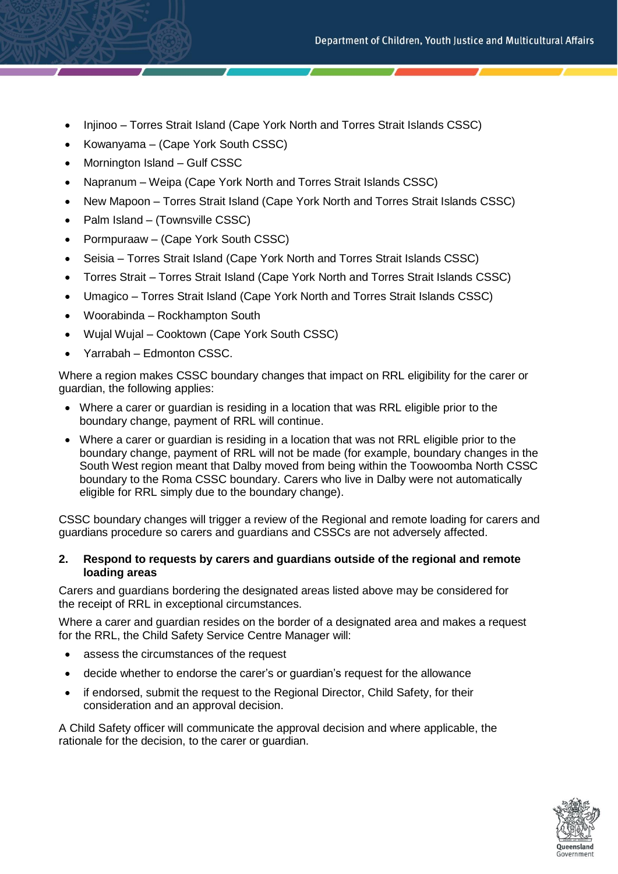- Injinoo Torres Strait Island (Cape York North and Torres Strait Islands CSSC)
- Kowanyama (Cape York South CSSC)
- Mornington Island Gulf CSSC
- Napranum Weipa (Cape York North and Torres Strait Islands CSSC)
- New Mapoon Torres Strait Island (Cape York North and Torres Strait Islands CSSC)
- Palm Island (Townsville CSSC)
- Pormpuraaw (Cape York South CSSC)
- Seisia Torres Strait Island (Cape York North and Torres Strait Islands CSSC)
- Torres Strait Torres Strait Island (Cape York North and Torres Strait Islands CSSC)
- Umagico Torres Strait Island (Cape York North and Torres Strait Islands CSSC)
- Woorabinda Rockhampton South
- Wujal Wujal Cooktown (Cape York South CSSC)
- Yarrabah Edmonton CSSC.

Where a region makes CSSC boundary changes that impact on RRL eligibility for the carer or guardian, the following applies:

- Where a carer or guardian is residing in a location that was RRL eligible prior to the boundary change, payment of RRL will continue.
- Where a carer or guardian is residing in a location that was not RRL eligible prior to the boundary change, payment of RRL will not be made (for example, boundary changes in the South West region meant that Dalby moved from being within the Toowoomba North CSSC boundary to the Roma CSSC boundary. Carers who live in Dalby were not automatically eligible for RRL simply due to the boundary change).

CSSC boundary changes will trigger a review of the Regional and remote loading for carers and guardians procedure so carers and guardians and CSSCs are not adversely affected.

#### **2. Respond to requests by carers and guardians outside of the regional and remote loading areas**

Carers and guardians bordering the designated areas listed above may be considered for the receipt of RRL in exceptional circumstances.

Where a carer and guardian resides on the border of a designated area and makes a request for the RRL, the Child Safety Service Centre Manager will:

- assess the circumstances of the request
- decide whether to endorse the carer's or guardian's request for the allowance
- if endorsed, submit the request to the Regional Director, Child Safety, for their consideration and an approval decision.

A Child Safety officer will communicate the approval decision and where applicable, the rationale for the decision, to the carer or guardian.

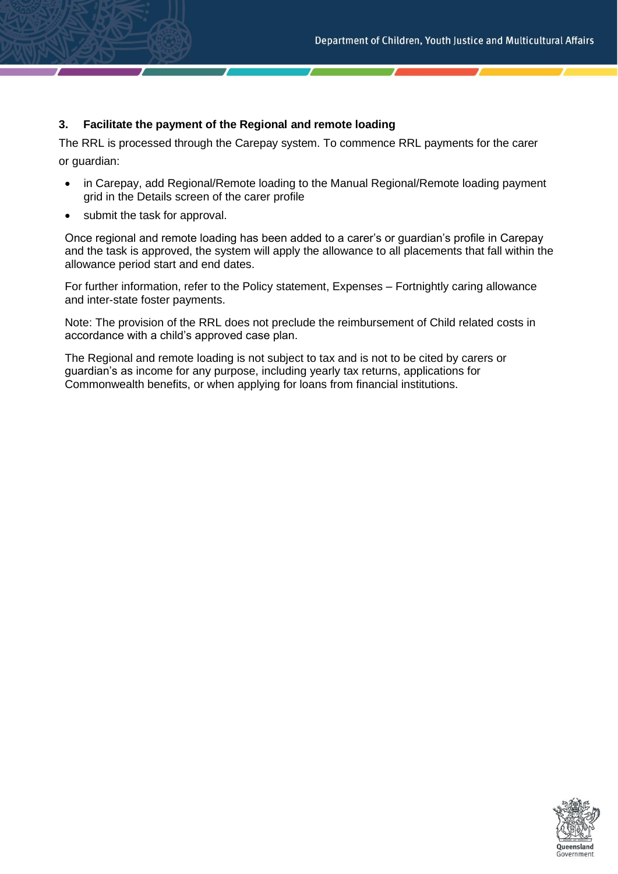# **3. Facilitate the payment of the Regional and remote loading**

The RRL is processed through the Carepay system. To commence RRL payments for the carer or guardian:

- in Carepay, add Regional/Remote loading to the Manual Regional/Remote loading payment grid in the Details screen of the carer profile
- submit the task for approval.

Once regional and remote loading has been added to a carer's or guardian's profile in Carepay and the task is approved, the system will apply the allowance to all placements that fall within the allowance period start and end dates.

For further information, refer to the Policy statement, Expenses – Fortnightly caring allowance and inter-state foster payments.

Note: The provision of the RRL does not preclude the reimbursement of Child related costs in accordance with a child's approved case plan.

The Regional and remote loading is not subject to tax and is not to be cited by carers or guardian's as income for any purpose, including yearly tax returns, applications for Commonwealth benefits, or when applying for loans from financial institutions.

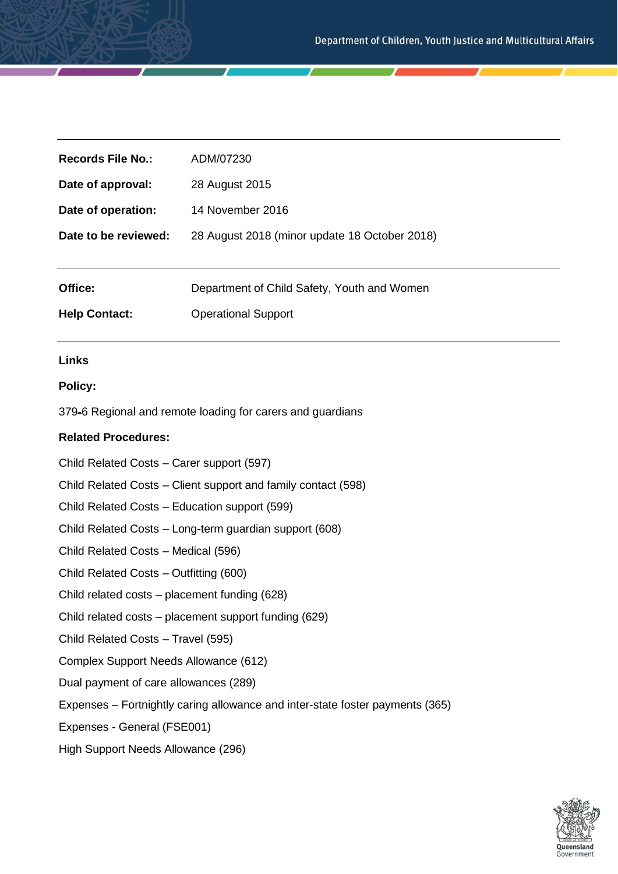| <b>Records File No.:</b> | ADM/07230                                     |
|--------------------------|-----------------------------------------------|
| Date of approval:        | 28 August 2015                                |
| Date of operation:       | 14 November 2016                              |
| Date to be reviewed:     | 28 August 2018 (minor update 18 October 2018) |
|                          |                                               |
| Office:                  | Department of Child Safety, Youth and Women   |
| <b>Help Contact:</b>     | <b>Operational Support</b>                    |
|                          |                                               |
| <b>Links</b>             |                                               |
| <b>Policy:</b>           |                                               |

379-6 Regional and remote loading for carers and guardians

#### **Related Procedures:**

Child Related Costs – Carer support (597)

Child Related Costs – Client support and family contact (598)

- Child Related Costs Education support (599)
- Child Related Costs Long-term guardian support (608)
- Child Related Costs Medical (596)
- Child Related Costs Outfitting (600)
- Child related costs placement funding (628)
- Child related costs placement support funding (629)
- Child Related Costs Travel (595)
- Complex Support Needs Allowance (612)
- Dual payment of care allowances (289)
- Expenses Fortnightly caring allowance and inter-state foster payments (365)

Expenses - General (FSE001)

High Support Needs Allowance (296)